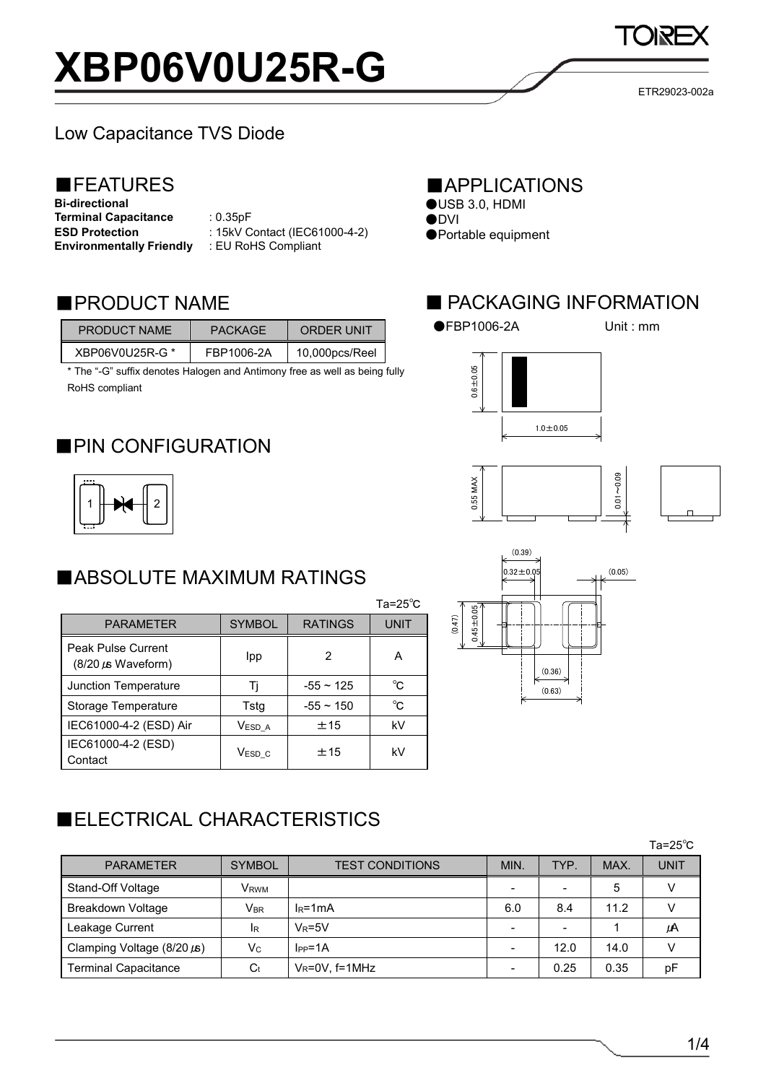# **XBP06V0U25R-G**

# Low Capacitance TVS Diode

# ■FEATURES

**Bi-directional Terminal Capacitance** : 0.35pF **ESD Protection Environmentally Friendly**

: 15kV Contact (IEC61000-4-2) : EU RoHS Compliant

## ■PRODUCT NAME

| PRODUCT NAME    | PACKAGE    | ORDER UNIT     |
|-----------------|------------|----------------|
| XBP06V0U25R-G * | FBP1006-2A | 10,000pcs/Reel |

\* The "-G" suffix denotes Halogen and Antimony free as well as being fully RoHS compliant

## ■PIN CONFIGURATION



# ■ABSOLUTE MAXIMUM RATINGS

|                                               |               |                | ں رے-ی ا    |
|-----------------------------------------------|---------------|----------------|-------------|
| <b>PARAMETER</b>                              | <b>SYMBOL</b> | <b>RATINGS</b> | <b>UNIT</b> |
| Peak Pulse Current<br>$(8/20 \mu s$ Waveform) | Ipp           | 2              | А           |
| Junction Temperature                          | Τi            | $-55 \sim 125$ | °C          |
| Storage Temperature                           | Tstg          | $-55 \sim 150$ | °C          |
| IEC61000-4-2 (ESD) Air                        | Vesd a        | ±15            | kV          |
| IEC61000-4-2 (ESD)<br>Contact                 | $V_{ESD_C}$   | ±15            | kV          |

# ■ELECTRICAL CHARACTERISTICS

|                                 |                            |                        |      |      |      | $Ta = 25^{\circ}C$ |
|---------------------------------|----------------------------|------------------------|------|------|------|--------------------|
| <b>PARAMETER</b>                | <b>SYMBOL</b>              | <b>TEST CONDITIONS</b> | MIN. | TYP. | MAX. | UNIT               |
| Stand-Off Voltage               | VRWM                       |                        |      |      | 5    |                    |
| <b>Breakdown Voltage</b>        | $\mathsf{V}_{\mathsf{BR}}$ | $IR=1mA$               | 6.0  | 8.4  | 11.2 |                    |
| Leakage Current                 | <b>IR</b>                  | $V_R = 5V$             |      | -    |      | μA                 |
| Clamping Voltage $(8/20 \mu s)$ | $V_{\rm C}$                | $I_{PP} = 1A$          |      | 12.0 | 14.0 |                    |
| <b>Terminal Capacitance</b>     | $C_t$                      | $V_R = 0V$ , f=1MHz    |      | 0.25 | 0.35 | рF                 |

 $T_0 = 25^\circ C$ 

#### ■APPLICATIONS

- $$
- ●<sub>DVI</sub> ●Portable equipment

## ■ PACKAGING INFORMATION

●FBP1006-2A Unit : mm







ETR29023-002a

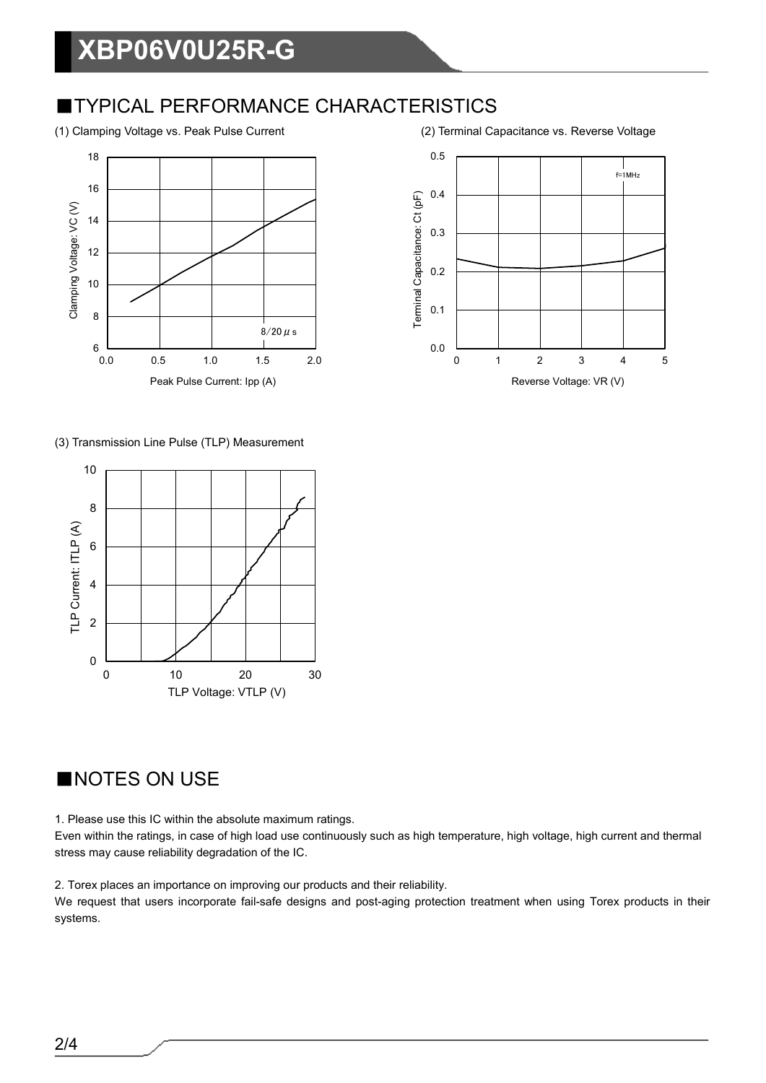#### **TYPICAL PERFORMANCE CHARACTERISTICS**

(1) Clamping Voltage vs. Peak Pulse Current (2) Terminal Capacitance vs. Reverse Voltage





(3) Transmission Line Pulse (TLP) Measurement



## ■NOTES ON USE

1. Please use this IC within the absolute maximum ratings.

Even within the ratings, in case of high load use continuously such as high temperature, high voltage, high current and thermal stress may cause reliability degradation of the IC.

2. Torex places an importance on improving our products and their reliability.

We request that users incorporate fail-safe designs and post-aging protection treatment when using Torex products in their systems.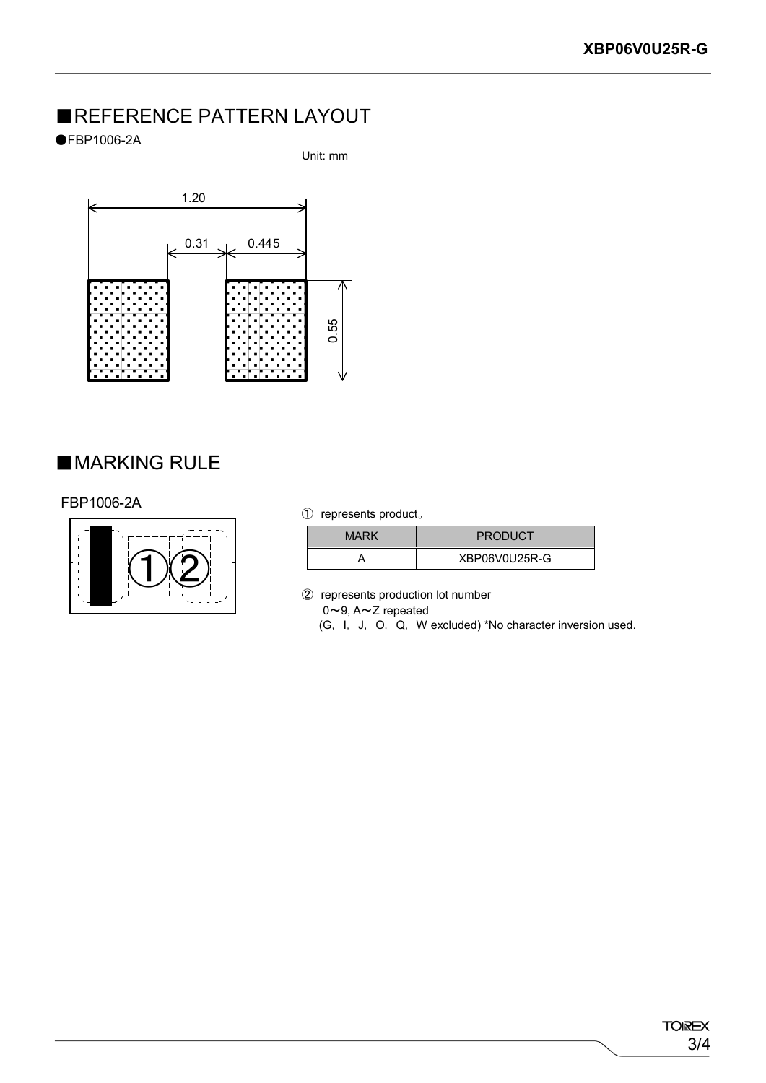## ■REFERENCE PATTERN LAYOUT

#### ●FBP1006-2A

Unit: mm



#### ■MARKING RULE

#### FBP1006-2A



#### ① represents product。

| <b>MARK</b> | <b>PRODUCT</b> |
|-------------|----------------|
|             | XBP06V0U25R-G  |

② represents production lot number

0~9, A~Z repeated

(G, I, J, O, Q, W excluded) \*No character inversion used.